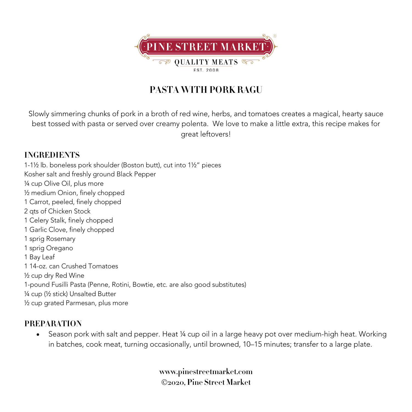

## **PASTA WITH PORK RAGU**

Slowly simmering chunks of pork in a broth of red wine, herbs, and tomatoes creates a magical, hearty sauce best tossed with pasta or served over creamy polenta. We love to make a little extra, this recipe makes for great leftovers!

## **INGREDIENTS**

1-1½ lb. boneless pork shoulder (Boston butt), cut into 1½" pieces Kosher salt and freshly ground Black Pepper ¼ cup Olive Oil, plus more ½ medium Onion, finely chopped 1 Carrot, peeled, finely chopped 2 qts of Chicken Stock 1 Celery Stalk, finely chopped 1 Garlic Clove, finely chopped 1 sprig Rosemary 1 sprig Oregano 1 Bay Leaf 1 14-oz. can Crushed Tomatoes ½ cup dry Red Wine 1-pound Fusilli Pasta (Penne, Rotini, Bowtie, etc. are also good substitutes)

¼ cup (½ stick) Unsalted Butter ½ cup grated Parmesan, plus more

## **PREPARATION**

• Season pork with salt and pepper. Heat ¼ cup oil in a large heavy pot over medium-high heat. Working in batches, cook meat, turning occasionally, until browned, 10–15 minutes; transfer to a large plate.

> **www.pinestreetmarket.com** Ó**2020, Pine Street Market**